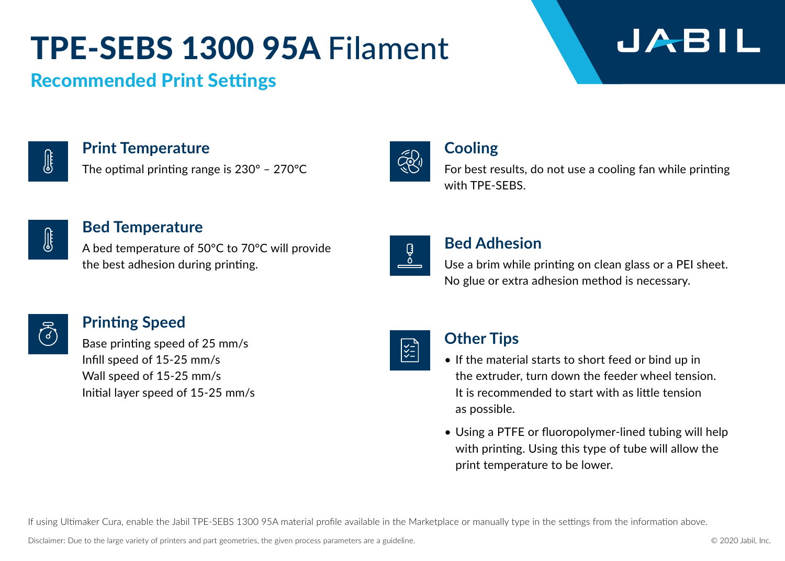### TPE-SEBS 1300 95A Filament

### JABIL

### Recommended Print Settings



**Print Temperature**

The optimal printing range is 230° – 270°C



### **Cooling**

For best results, do not use a cooling fan while printing with TPE-SEBS.

Use a brim while printing on clean glass or a PEI sheet. No glue or extra adhesion method is necessary.



#### **Bed Temperature**

A bed temperature of 50°C to 70°C will provide the best adhesion during printing.



### **Printing Speed**

Base printing speed of 25 mm/s Infill speed of 15-25 mm/s Wall speed of 15-25 mm/s Initial layer speed of 15-25 mm/s



|≿॒ौ

<u>ु</u><br>०

### **Other Tips**

**Bed Adhesion**

- If the material starts to short feed or bind up in the extruder, turn down the feeder wheel tension. It is recommended to start with as little tension as possible.
- Using a PTFE or fluoropolymer-lined tubing will help with printing. Using this type of tube will allow the print temperature to be lower.

If using Ultimaker Cura, enable the Jabil TPE-SEBS 1300 95A material profile available in the Marketplace or manually type in the settings from the information above.